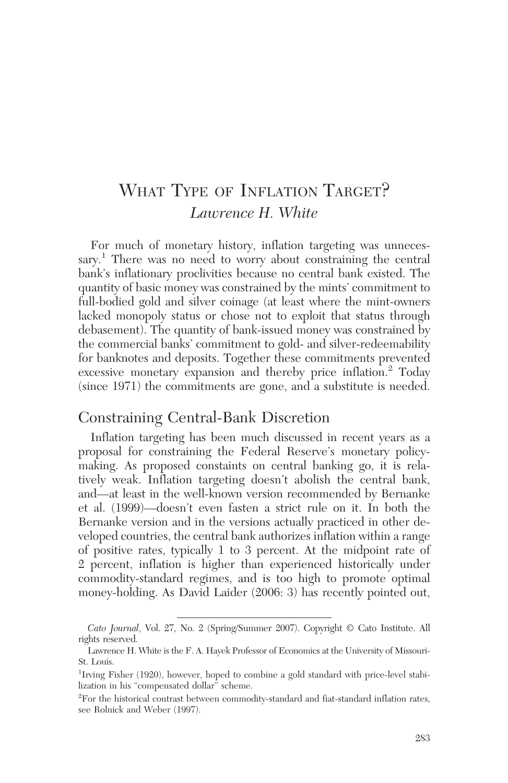# WHAT TYPE OF INFLATION TARGET? *Lawrence H. White*

For much of monetary history, inflation targeting was unnecessary.<sup>1</sup> There was no need to worry about constraining the central bank's inflationary proclivities because no central bank existed. The quantity of basic money was constrained by the mints' commitment to full-bodied gold and silver coinage (at least where the mint-owners lacked monopoly status or chose not to exploit that status through debasement). The quantity of bank-issued money was constrained by the commercial banks' commitment to gold- and silver-redeemability for banknotes and deposits. Together these commitments prevented excessive monetary expansion and thereby price inflation.<sup>2</sup> Today (since 1971) the commitments are gone, and a substitute is needed.

# Constraining Central-Bank Discretion

Inflation targeting has been much discussed in recent years as a proposal for constraining the Federal Reserve's monetary policymaking. As proposed constaints on central banking go, it is relatively weak. Inflation targeting doesn't abolish the central bank, and—at least in the well-known version recommended by Bernanke et al. (1999)—doesn't even fasten a strict rule on it. In both the Bernanke version and in the versions actually practiced in other developed countries, the central bank authorizes inflation within a range of positive rates, typically 1 to 3 percent. At the midpoint rate of 2 percent, inflation is higher than experienced historically under commodity-standard regimes, and is too high to promote optimal money-holding. As David Laider (2006: 3) has recently pointed out,

*Cato Journal*, Vol. 27, No. 2 (Spring/Summer 2007). Copyright © Cato Institute. All rights reserved.

Lawrence H. White is the F. A. Hayek Professor of Economics at the University of Missouri-St. Louis.

<sup>&</sup>lt;sup>1</sup>Irving Fisher (1920), however, hoped to combine a gold standard with price-level stabilization in his "compensated dollar" scheme.

<sup>&</sup>lt;sup>2</sup>For the historical contrast between commodity-standard and fiat-standard inflation rates, see Rolnick and Weber (1997).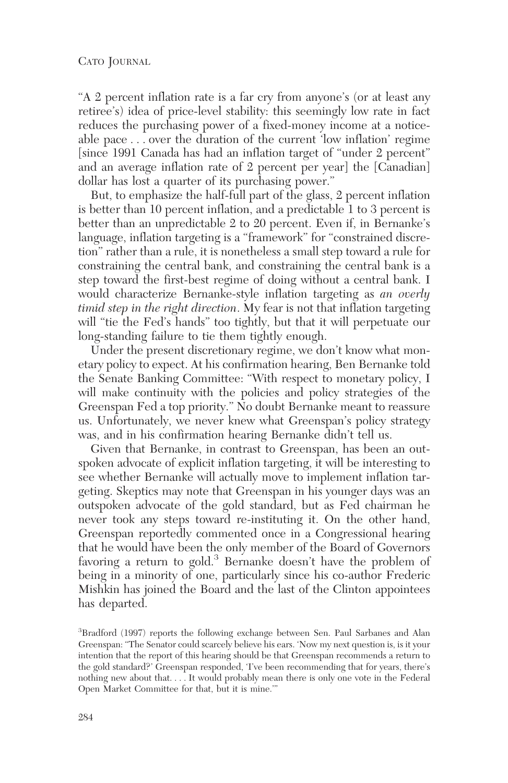"A 2 percent inflation rate is a far cry from anyone's (or at least any retiree's) idea of price-level stability: this seemingly low rate in fact reduces the purchasing power of a fixed-money income at a noticeable pace... over the duration of the current 'low inflation' regime [since 1991 Canada has had an inflation target of "under 2 percent" and an average inflation rate of 2 percent per year] the [Canadian] dollar has lost a quarter of its purchasing power."

But, to emphasize the half-full part of the glass, 2 percent inflation is better than 10 percent inflation, and a predictable 1 to 3 percent is better than an unpredictable 2 to 20 percent. Even if, in Bernanke's language, inflation targeting is a "framework" for "constrained discretion" rather than a rule, it is nonetheless a small step toward a rule for constraining the central bank, and constraining the central bank is a step toward the first-best regime of doing without a central bank. I would characterize Bernanke-style inflation targeting as *an overly timid step in the right direction*. My fear is not that inflation targeting will "tie the Fed's hands" too tightly, but that it will perpetuate our long-standing failure to tie them tightly enough.

Under the present discretionary regime, we don't know what monetary policy to expect. At his confirmation hearing, Ben Bernanke told the Senate Banking Committee: "With respect to monetary policy, I will make continuity with the policies and policy strategies of the Greenspan Fed a top priority." No doubt Bernanke meant to reassure us. Unfortunately, we never knew what Greenspan's policy strategy was, and in his confirmation hearing Bernanke didn't tell us.

Given that Bernanke, in contrast to Greenspan, has been an outspoken advocate of explicit inflation targeting, it will be interesting to see whether Bernanke will actually move to implement inflation targeting. Skeptics may note that Greenspan in his younger days was an outspoken advocate of the gold standard, but as Fed chairman he never took any steps toward re-instituting it. On the other hand, Greenspan reportedly commented once in a Congressional hearing that he would have been the only member of the Board of Governors favoring a return to gold.<sup>3</sup> Bernanke doesn't have the problem of being in a minority of one, particularly since his co-author Frederic Mishkin has joined the Board and the last of the Clinton appointees has departed.

<sup>3</sup> Bradford (1997) reports the following exchange between Sen. Paul Sarbanes and Alan Greenspan: "The Senator could scarcely believe his ears. 'Now my next question is, is it your intention that the report of this hearing should be that Greenspan recommends a return to the gold standard?' Greenspan responded, 'I've been recommending that for years, there's nothing new about that. . . . It would probably mean there is only one vote in the Federal Open Market Committee for that, but it is mine.'"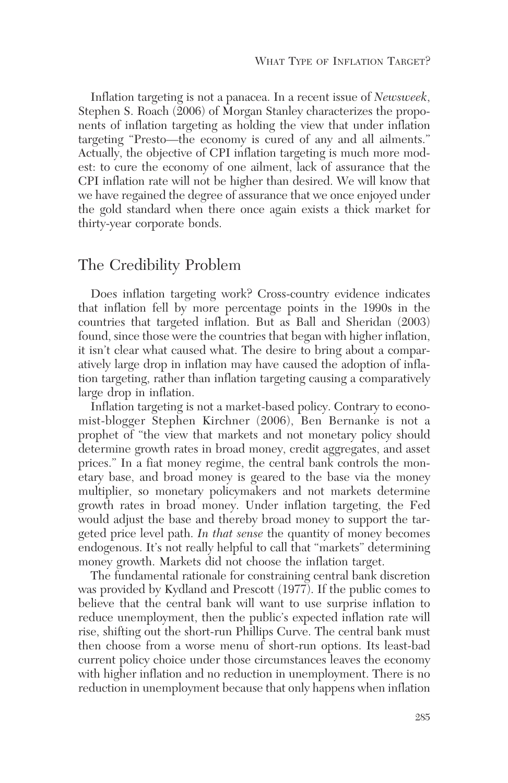Inflation targeting is not a panacea. In a recent issue of *Newsweek*, Stephen S. Roach (2006) of Morgan Stanley characterizes the proponents of inflation targeting as holding the view that under inflation targeting "Presto—the economy is cured of any and all ailments." Actually, the objective of CPI inflation targeting is much more modest: to cure the economy of one ailment, lack of assurance that the CPI inflation rate will not be higher than desired. We will know that we have regained the degree of assurance that we once enjoyed under the gold standard when there once again exists a thick market for thirty-year corporate bonds.

## The Credibility Problem

Does inflation targeting work? Cross-country evidence indicates that inflation fell by more percentage points in the 1990s in the countries that targeted inflation. But as Ball and Sheridan (2003) found, since those were the countries that began with higher inflation, it isn't clear what caused what. The desire to bring about a comparatively large drop in inflation may have caused the adoption of inflation targeting, rather than inflation targeting causing a comparatively large drop in inflation.

Inflation targeting is not a market-based policy. Contrary to economist-blogger Stephen Kirchner (2006), Ben Bernanke is not a prophet of "the view that markets and not monetary policy should determine growth rates in broad money, credit aggregates, and asset prices." In a fiat money regime, the central bank controls the monetary base, and broad money is geared to the base via the money multiplier, so monetary policymakers and not markets determine growth rates in broad money. Under inflation targeting, the Fed would adjust the base and thereby broad money to support the targeted price level path. *In that sense* the quantity of money becomes endogenous. It's not really helpful to call that "markets" determining money growth. Markets did not choose the inflation target.

The fundamental rationale for constraining central bank discretion was provided by Kydland and Prescott (1977). If the public comes to believe that the central bank will want to use surprise inflation to reduce unemployment, then the public's expected inflation rate will rise, shifting out the short-run Phillips Curve. The central bank must then choose from a worse menu of short-run options. Its least-bad current policy choice under those circumstances leaves the economy with higher inflation and no reduction in unemployment. There is no reduction in unemployment because that only happens when inflation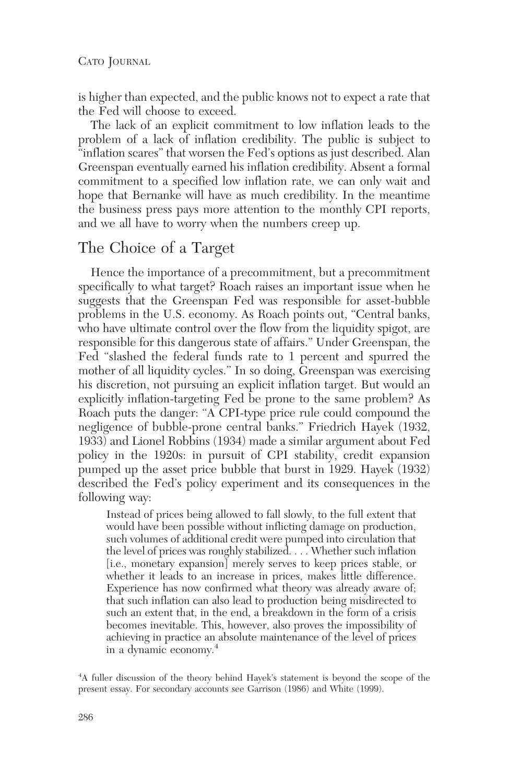is higher than expected, and the public knows not to expect a rate that the Fed will choose to exceed.

The lack of an explicit commitment to low inflation leads to the problem of a lack of inflation credibility. The public is subject to "inflation scares" that worsen the Fed's options as just described. Alan Greenspan eventually earned his inflation credibility. Absent a formal commitment to a specified low inflation rate, we can only wait and hope that Bernanke will have as much credibility. In the meantime the business press pays more attention to the monthly CPI reports, and we all have to worry when the numbers creep up.

# The Choice of a Target

Hence the importance of a precommitment, but a precommitment specifically to what target? Roach raises an important issue when he suggests that the Greenspan Fed was responsible for asset-bubble problems in the U.S. economy. As Roach points out, "Central banks, who have ultimate control over the flow from the liquidity spigot, are responsible for this dangerous state of affairs." Under Greenspan, the Fed "slashed the federal funds rate to 1 percent and spurred the mother of all liquidity cycles." In so doing, Greenspan was exercising his discretion, not pursuing an explicit inflation target. But would an explicitly inflation-targeting Fed be prone to the same problem? As Roach puts the danger: "A CPI-type price rule could compound the negligence of bubble-prone central banks." Friedrich Hayek (1932, 1933) and Lionel Robbins (1934) made a similar argument about Fed policy in the 1920s: in pursuit of CPI stability, credit expansion pumped up the asset price bubble that burst in 1929. Hayek (1932) described the Fed's policy experiment and its consequences in the following way:

Instead of prices being allowed to fall slowly, to the full extent that would have been possible without inflicting damage on production, such volumes of additional credit were pumped into circulation that the level of prices was roughly stabilized.... Whether such inflation [i.e., monetary expansion] merely serves to keep prices stable, or whether it leads to an increase in prices, makes little difference. Experience has now confirmed what theory was already aware of; that such inflation can also lead to production being misdirected to such an extent that, in the end, a breakdown in the form of a crisis becomes inevitable. This, however, also proves the impossibility of achieving in practice an absolute maintenance of the level of prices in a dynamic economy.<sup>4</sup>

4 A fuller discussion of the theory behind Hayek's statement is beyond the scope of the present essay. For secondary accounts see Garrison (1986) and White (1999).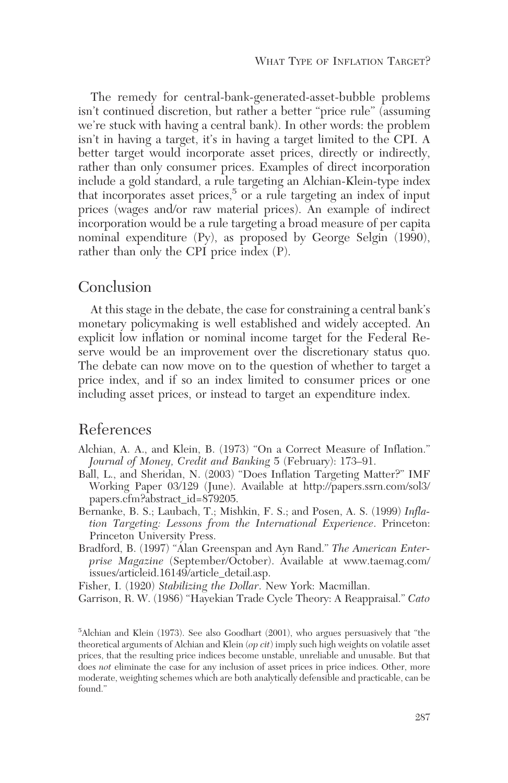The remedy for central-bank-generated-asset-bubble problems isn't continued discretion, but rather a better "price rule" (assuming we're stuck with having a central bank). In other words: the problem isn't in having a target, it's in having a target limited to the CPI. A better target would incorporate asset prices, directly or indirectly, rather than only consumer prices. Examples of direct incorporation include a gold standard, a rule targeting an Alchian-Klein-type index that incorporates asset prices,<sup>5</sup> or a rule targeting an index of input prices (wages and/or raw material prices). An example of indirect incorporation would be a rule targeting a broad measure of per capita nominal expenditure (Py), as proposed by George Selgin (1990), rather than only the CPI price index (P).

# Conclusion

At this stage in the debate, the case for constraining a central bank's monetary policymaking is well established and widely accepted. An explicit low inflation or nominal income target for the Federal Reserve would be an improvement over the discretionary status quo. The debate can now move on to the question of whether to target a price index, and if so an index limited to consumer prices or one including asset prices, or instead to target an expenditure index.

## References

- Alchian, A. A., and Klein, B. (1973) "On a Correct Measure of Inflation." *Journal of Money, Credit and Banking* 5 (February): 173–91.
- Ball, L., and Sheridan, N. (2003) "Does Inflation Targeting Matter?" IMF Working Paper 03/129 (June). Available at http://papers.ssrn.com/sol3/ papers.cfm?abstract\_id=879205.
- Bernanke, B. S.; Laubach, T.; Mishkin, F. S.; and Posen, A. S. (1999) *Inflation Targeting: Lessons from the International Experience*. Princeton: Princeton University Press.
- Bradford, B. (1997) "Alan Greenspan and Ayn Rand." *The American Enterprise Magazine* (September/October). Available at www.taemag.com/ issues/articleid.16149/article\_detail.asp.

Fisher, I. (1920) *Stabilizing the Dollar*. New York: Macmillan.

Garrison, R. W. (1986) "Hayekian Trade Cycle Theory: A Reappraisal." *Cato*

5 Alchian and Klein (1973). See also Goodhart (2001), who argues persuasively that "the theoretical arguments of Alchian and Klein (*op cit*) imply such high weights on volatile asset prices, that the resulting price indices become unstable, unreliable and unusable. But that does *not* eliminate the case for any inclusion of asset prices in price indices. Other, more moderate, weighting schemes which are both analytically defensible and practicable, can be found."